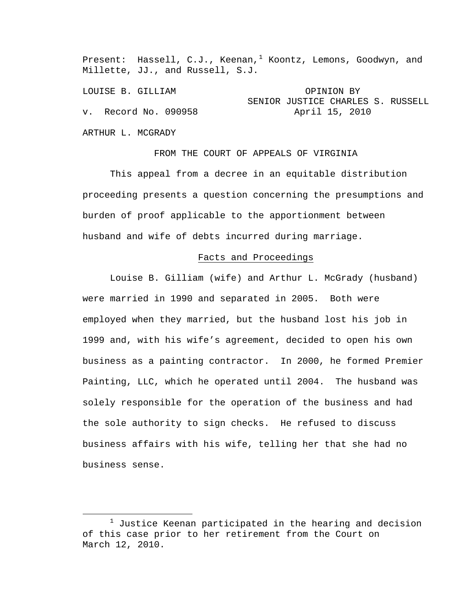Present: Hassell, C.J., Keenan,<sup>[1](#page-0-0)</sup> Koontz, Lemons, Goodwyn, and Millette, JJ., and Russell, S.J.

LOUISE B. GILLIAM OPINION BY SENIOR JUSTICE CHARLES S. RUSSELL v. Record No. 090958 April 15, 2010

ARTHUR L. MCGRADY

FROM THE COURT OF APPEALS OF VIRGINIA This appeal from a decree in an equitable distribution proceeding presents a question concerning the presumptions and burden of proof applicable to the apportionment between husband and wife of debts incurred during marriage.

## Facts and Proceedings

 Louise B. Gilliam (wife) and Arthur L. McGrady (husband) were married in 1990 and separated in 2005. Both were employed when they married, but the husband lost his job in 1999 and, with his wife's agreement, decided to open his own business as a painting contractor. In 2000, he formed Premier Painting, LLC, which he operated until 2004. The husband was solely responsible for the operation of the business and had the sole authority to sign checks. He refused to discuss business affairs with his wife, telling her that she had no business sense.

<span id="page-0-0"></span> $\begin{array}{c}\n\hline\n\hline\n\hline\n\hline\n\hline\n\end{array}$  $1$  Justice Keenan participated in the hearing and decision of this case prior to her retirement from the Court on March 12, 2010.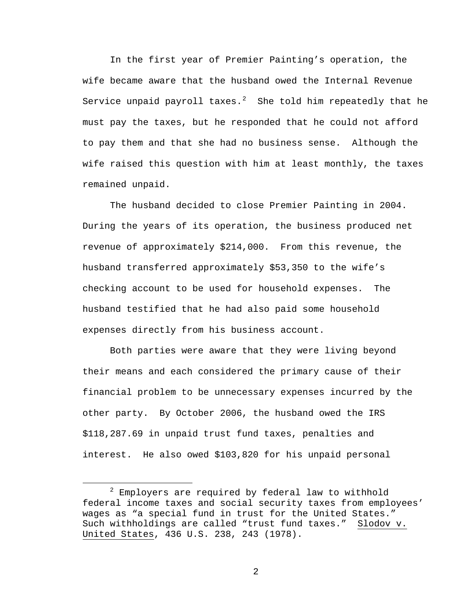In the first year of Premier Painting's operation, the wife became aware that the husband owed the Internal Revenue Service unpaid payroll taxes.<sup>[2](#page-1-0)</sup> She told him repeatedly that he must pay the taxes, but he responded that he could not afford to pay them and that she had no business sense. Although the wife raised this question with him at least monthly, the taxes remained unpaid.

 The husband decided to close Premier Painting in 2004. During the years of its operation, the business produced net revenue of approximately \$214,000. From this revenue, the husband transferred approximately \$53,350 to the wife's checking account to be used for household expenses. The husband testified that he had also paid some household expenses directly from his business account.

 Both parties were aware that they were living beyond their means and each considered the primary cause of their financial problem to be unnecessary expenses incurred by the other party. By October 2006, the husband owed the IRS \$118,287.69 in unpaid trust fund taxes, penalties and interest. He also owed \$103,820 for his unpaid personal

<span id="page-1-0"></span> <sup>2</sup>  $2$  Employers are required by federal law to withhold federal income taxes and social security taxes from employees' wages as "a special fund in trust for the United States." Such withholdings are called "trust fund taxes." Slodov v. United States, 436 U.S. 238, 243 (1978).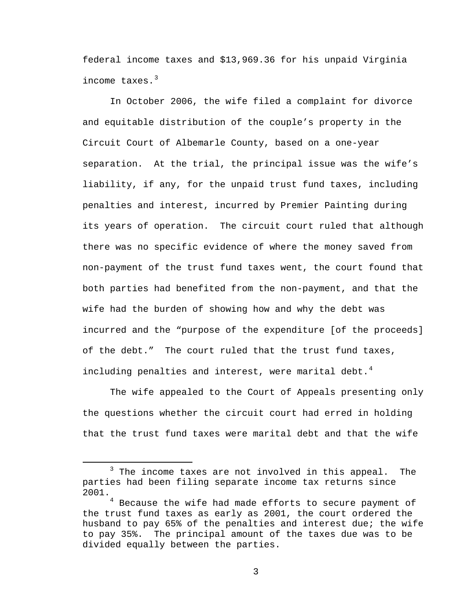federal income taxes and \$13,969.36 for his unpaid Virginia income taxes. $3$ 

 In October 2006, the wife filed a complaint for divorce and equitable distribution of the couple's property in the Circuit Court of Albemarle County, based on a one-year separation. At the trial, the principal issue was the wife's liability, if any, for the unpaid trust fund taxes, including penalties and interest, incurred by Premier Painting during its years of operation. The circuit court ruled that although there was no specific evidence of where the money saved from non-payment of the trust fund taxes went, the court found that both parties had benefited from the non-payment, and that the wife had the burden of showing how and why the debt was incurred and the "purpose of the expenditure [of the proceeds] of the debt." The court ruled that the trust fund taxes, including penalties and interest, were marital debt.<sup>[4](#page-2-1)</sup>

 The wife appealed to the Court of Appeals presenting only the questions whether the circuit court had erred in holding that the trust fund taxes were marital debt and that the wife

<span id="page-2-0"></span> $\overline{\phantom{a}}$  3  $3$  The income taxes are not involved in this appeal. The parties had been filing separate income tax returns since 2001.

<span id="page-2-1"></span><sup>&</sup>lt;sup>4</sup> Because the wife had made efforts to secure payment of the trust fund taxes as early as 2001, the court ordered the husband to pay 65% of the penalties and interest due; the wife to pay 35%. The principal amount of the taxes due was to be divided equally between the parties.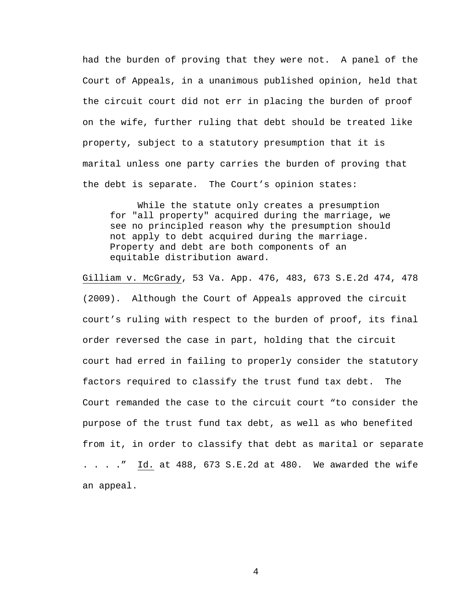had the burden of proving that they were not. A panel of the Court of Appeals, in a unanimous published opinion, held that the circuit court did not err in placing the burden of proof on the wife, further ruling that debt should be treated like property, subject to a statutory presumption that it is marital unless one party carries the burden of proving that the debt is separate. The Court's opinion states:

 While the statute only creates a presumption for "all property" acquired during the marriage, we see no principled reason why the presumption should not apply to debt acquired during the marriage. Property and debt are both components of an equitable distribution award.

Gilliam v. McGrady, 53 Va. App. 476, 483, 673 S.E.2d 474, 478 (2009). Although the Court of Appeals approved the circuit court's ruling with respect to the burden of proof, its final order reversed the case in part, holding that the circuit court had erred in failing to properly consider the statutory factors required to classify the trust fund tax debt. The Court remanded the case to the circuit court "to consider the purpose of the trust fund tax debt, as well as who benefited from it, in order to classify that debt as marital or separate . . . ." Id. at 488, 673 S.E.2d at 480. We awarded the wife an appeal.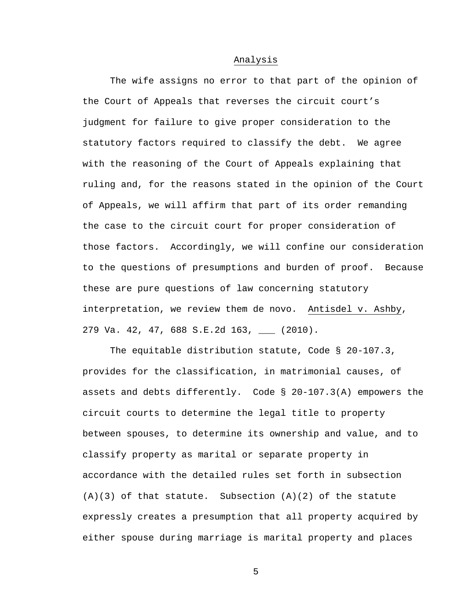## Analysis

 The wife assigns no error to that part of the opinion of the Court of Appeals that reverses the circuit court's judgment for failure to give proper consideration to the statutory factors required to classify the debt. We agree with the reasoning of the Court of Appeals explaining that ruling and, for the reasons stated in the opinion of the Court of Appeals, we will affirm that part of its order remanding the case to the circuit court for proper consideration of those factors. Accordingly, we will confine our consideration to the questions of presumptions and burden of proof. Because these are pure questions of law concerning statutory interpretation, we review them de novo. Antisdel v. Ashby, 279 Va. 42, 47, 688 S.E.2d 163, \_\_\_ (2010).

 The equitable distribution statute, Code § 20-107.3, provides for the classification, in matrimonial causes, of assets and debts differently. Code § 20-107.3(A) empowers the circuit courts to determine the legal title to property between spouses, to determine its ownership and value, and to classify property as marital or separate property in accordance with the detailed rules set forth in subsection  $(A)(3)$  of that statute. Subsection  $(A)(2)$  of the statute expressly creates a presumption that all property acquired by either spouse during marriage is marital property and places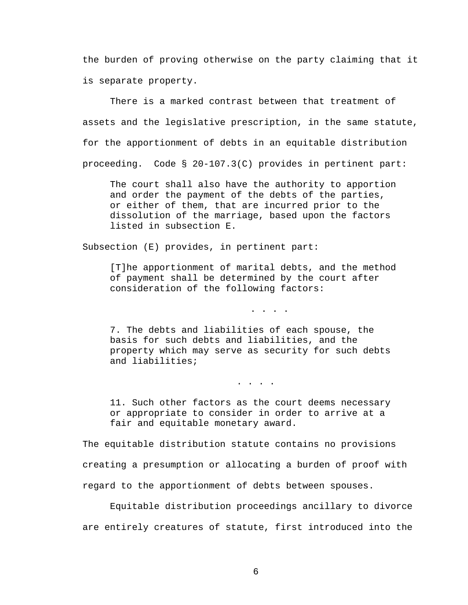the burden of proving otherwise on the party claiming that it is separate property.

 There is a marked contrast between that treatment of assets and the legislative prescription, in the same statute, for the apportionment of debts in an equitable distribution proceeding. Code § 20-107.3(C) provides in pertinent part:

The court shall also have the authority to apportion and order the payment of the debts of the parties, or either of them, that are incurred prior to the dissolution of the marriage, based upon the factors listed in subsection E.

Subsection (E) provides, in pertinent part:

[T]he apportionment of marital debts, and the method of payment shall be determined by the court after consideration of the following factors:

. . . .

7. The debts and liabilities of each spouse, the basis for such debts and liabilities, and the property which may serve as security for such debts and liabilities;

. . . .

11. Such other factors as the court deems necessary or appropriate to consider in order to arrive at a fair and equitable monetary award.

The equitable distribution statute contains no provisions creating a presumption or allocating a burden of proof with regard to the apportionment of debts between spouses.

 Equitable distribution proceedings ancillary to divorce are entirely creatures of statute, first introduced into the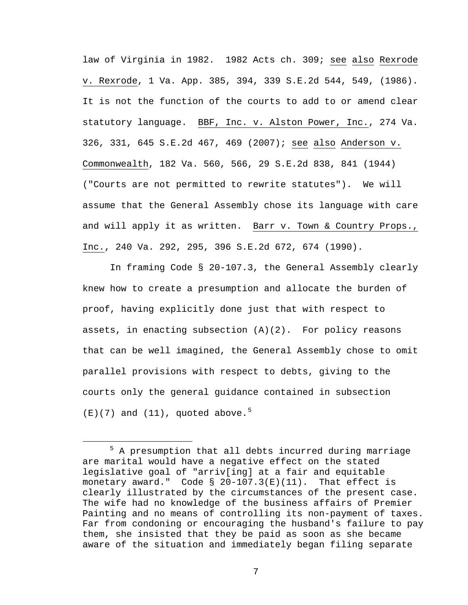law of Virginia in 1982. 1982 Acts ch. 309; see also Rexrode v. Rexrode, 1 Va. App. 385, 394, 339 S.E.2d 544, 549, (1986). It is not the function of the courts to add to or amend clear statutory language. BBF, Inc. v. Alston Power, Inc., 274 Va. 326, 331, 645 S.E.2d 467, 469 (2007); see also Anderson v. Commonwealth, 182 Va. 560, 566, 29 S.E.2d 838, 841 (1944) ("Courts are not permitted to rewrite statutes"). We will assume that the General Assembly chose its language with care and will apply it as written. Barr v. Town & Country Props., Inc., 240 Va. 292, 295, 396 S.E.2d 672, 674 (1990).

 In framing Code § 20-107.3, the General Assembly clearly knew how to create a presumption and allocate the burden of proof, having explicitly done just that with respect to assets, in enacting subsection  $(A)(2)$ . For policy reasons that can be well imagined, the General Assembly chose to omit parallel provisions with respect to debts, giving to the courts only the general guidance contained in subsection  $(E)(7)$  and  $(11)$ , quoted above.<sup>[5](#page-6-0)</sup>

<span id="page-6-0"></span> $\frac{1}{5}$  $5$  A presumption that all debts incurred during marriage are marital would have a negative effect on the stated legislative goal of "arriv[ing] at a fair and equitable monetary award." Code  $\S$  20-107.3(E)(11). That effect is clearly illustrated by the circumstances of the present case. The wife had no knowledge of the business affairs of Premier Painting and no means of controlling its non-payment of taxes. Far from condoning or encouraging the husband's failure to pay them, she insisted that they be paid as soon as she became aware of the situation and immediately began filing separate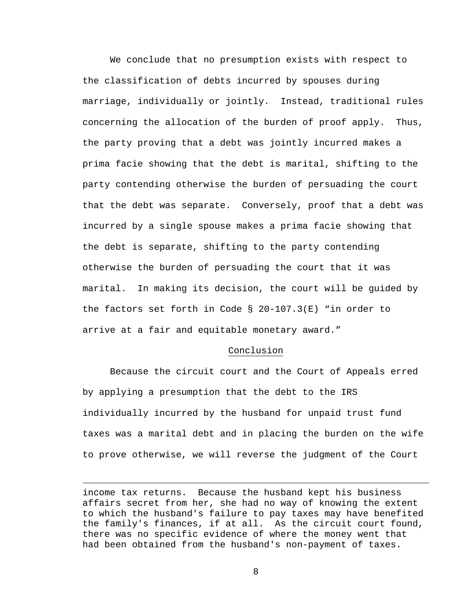We conclude that no presumption exists with respect to the classification of debts incurred by spouses during marriage, individually or jointly. Instead, traditional rules concerning the allocation of the burden of proof apply. Thus, the party proving that a debt was jointly incurred makes a prima facie showing that the debt is marital, shifting to the party contending otherwise the burden of persuading the court that the debt was separate. Conversely, proof that a debt was incurred by a single spouse makes a prima facie showing that the debt is separate, shifting to the party contending otherwise the burden of persuading the court that it was marital. In making its decision, the court will be guided by the factors set forth in Code § 20-107.3(E) "in order to arrive at a fair and equitable monetary award."

## Conclusion

 Because the circuit court and the Court of Appeals erred by applying a presumption that the debt to the IRS individually incurred by the husband for unpaid trust fund taxes was a marital debt and in placing the burden on the wife to prove otherwise, we will reverse the judgment of the Court

i<br>Li

income tax returns. Because the husband kept his business affairs secret from her, she had no way of knowing the extent to which the husband's failure to pay taxes may have benefited the family's finances, if at all. As the circuit court found, there was no specific evidence of where the money went that had been obtained from the husband's non-payment of taxes.